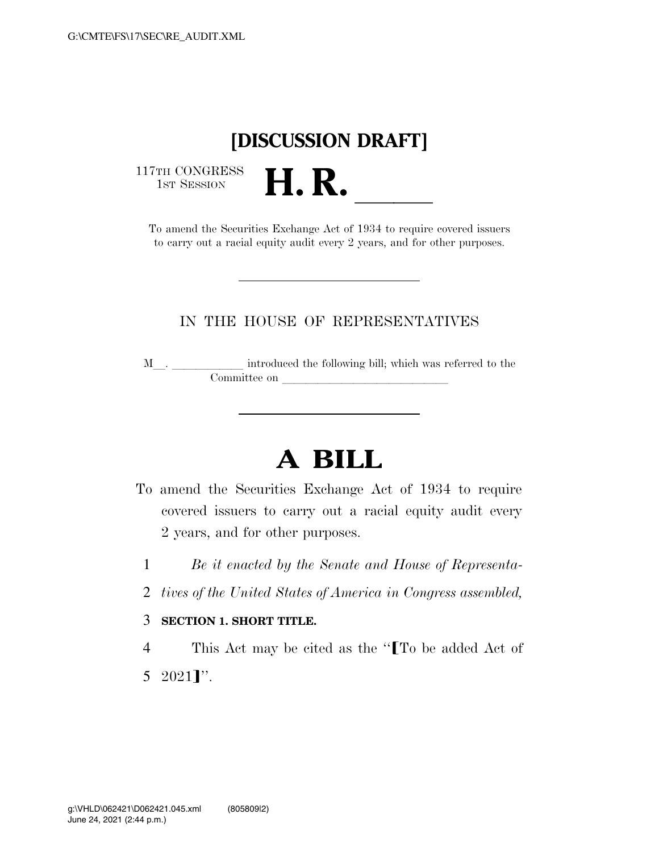# **[DISCUSSION DRAFT]**

117TH CONGRESS<br>1st Session

TTH CONGRESS<br>1st SESSION **H. R. I. B. CONGRESS**<br>To amend the Securities Exchange Act of 1934 to require covered issuers to carry out a racial equity audit every 2 years, and for other purposes.

# IN THE HOUSE OF REPRESENTATIVES

<sup>M</sup>l. llllll introduced the following bill; which was referred to the Committee on later and later on later of the state of the state of the state of the state of the state of the state of the state of the state of the state of the state of the state of the state of the state of the state of

# **A BILL**

- To amend the Securities Exchange Act of 1934 to require covered issuers to carry out a racial equity audit every 2 years, and for other purposes.
	- 1 *Be it enacted by the Senate and House of Representa-*
	- 2 *tives of the United States of America in Congress assembled,*

#### 3 **SECTION 1. SHORT TITLE.**

4 This Act may be cited as the "ITo be added Act of 5  $2021$ l''.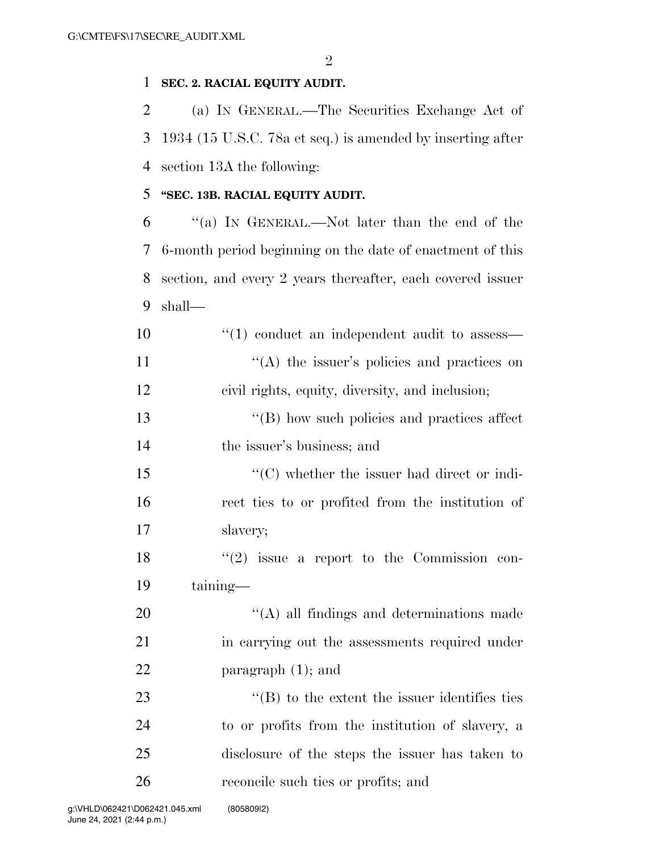$\mathfrak{D}$ 

# **SEC. 2. RACIAL EQUITY AUDIT.**

 (a) IN GENERAL.—The Securities Exchange Act of 1934 (15 U.S.C. 78a et seq.) is amended by inserting after section 13A the following:

# **''SEC. 13B. RACIAL EQUITY AUDIT.**

 ''(a) IN GENERAL.—Not later than the end of the 6-month period beginning on the date of enactment of this section, and every 2 years thereafter, each covered issuer shall—

10  $\frac{10}{10}$  conduct an independent audit to assess— 11  $((A)$  the issuer's policies and practices on civil rights, equity, diversity, and inclusion;

13 ''(B) how such policies and practices affect the issuer's business; and

 ''(C) whether the issuer had direct or indi- rect ties to or profited from the institution of slavery;

 ''(2) issue a report to the Commission con-taining—

20  $\cdot$  (A) all findings and determinations made in carrying out the assessments required under paragraph (1); and

 $\langle$  (B) to the extent the issuer identifies ties to or profits from the institution of slavery, a disclosure of the steps the issuer has taken to reconcile such ties or profits; and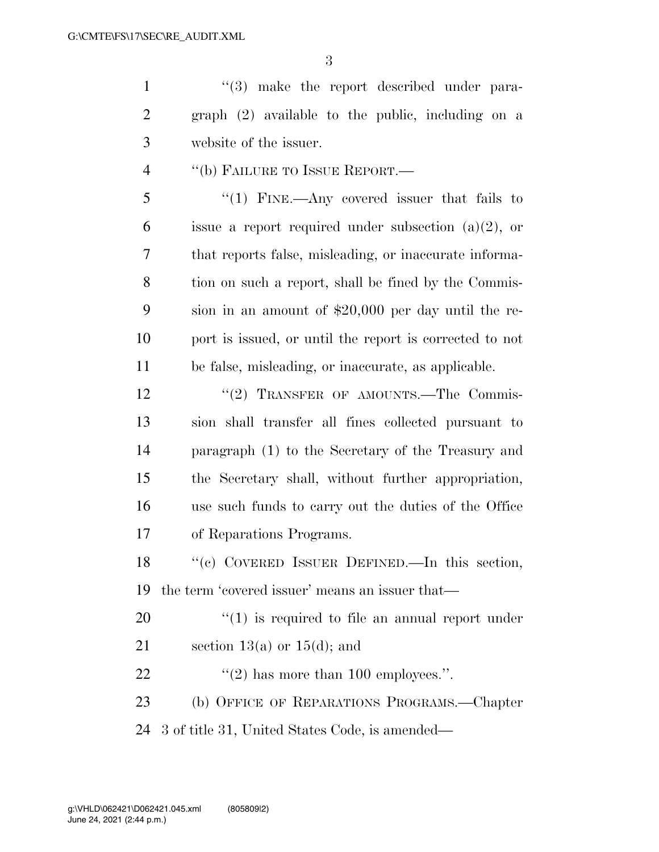1 ''(3) make the report described under para- graph (2) available to the public, including on a website of the issuer.

''(b) FAILURE TO ISSUE REPORT.—

 ''(1) FINE.—Any covered issuer that fails to 6 issue a report required under subsection  $(a)(2)$ , or that reports false, misleading, or inaccurate informa- tion on such a report, shall be fined by the Commis- sion in an amount of \$20,000 per day until the re- port is issued, or until the report is corrected to not be false, misleading, or inaccurate, as applicable.

12 "(2) TRANSFER OF AMOUNTS.—The Commis- sion shall transfer all fines collected pursuant to paragraph (1) to the Secretary of the Treasury and the Secretary shall, without further appropriation, use such funds to carry out the duties of the Office of Reparations Programs.

 ''(c) COVERED ISSUER DEFINED.—In this section, the term 'covered issuer' means an issuer that—

 $\qquad$   $\qquad$   $\qquad$   $\qquad$   $\qquad$   $\qquad$   $\qquad$   $\qquad$   $\qquad$   $\qquad$   $\qquad$   $\qquad$   $\qquad$   $\qquad$   $\qquad$   $\qquad$   $\qquad$   $\qquad$   $\qquad$   $\qquad$   $\qquad$   $\qquad$   $\qquad$   $\qquad$   $\qquad$   $\qquad$   $\qquad$   $\qquad$   $\qquad$   $\qquad$   $\qquad$   $\qquad$   $\qquad$   $\qquad$   $\qquad$   $\qquad$ 

21 section 13(a) or  $15(d)$ ; and

22  $\frac{1}{2}$   $\frac{1}{2}$  has more than 100 employees.".

(b) OFFICE OF REPARATIONS PROGRAMS.—Chapter

3 of title 31, United States Code, is amended—